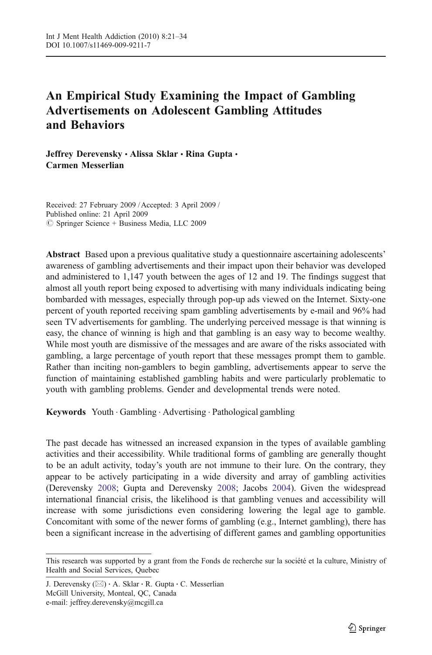# An Empirical Study Examining the Impact of Gambling Advertisements on Adolescent Gambling Attitudes and Behaviors

Jeffrey Derevensky · Alissa Sklar · Rina Gupta · Carmen Messerlian

Received: 27 February 2009 / Accepted: 3 April 2009 / Published online: 21 April 2009  $\circledcirc$  Springer Science + Business Media, LLC 2009

Abstract Based upon a previous qualitative study a questionnaire ascertaining adolescents' awareness of gambling advertisements and their impact upon their behavior was developed and administered to 1,147 youth between the ages of 12 and 19. The findings suggest that almost all youth report being exposed to advertising with many individuals indicating being bombarded with messages, especially through pop-up ads viewed on the Internet. Sixty-one percent of youth reported receiving spam gambling advertisements by e-mail and 96% had seen TV advertisements for gambling. The underlying perceived message is that winning is easy, the chance of winning is high and that gambling is an easy way to become wealthy. While most youth are dismissive of the messages and are aware of the risks associated with gambling, a large percentage of youth report that these messages prompt them to gamble. Rather than inciting non-gamblers to begin gambling, advertisements appear to serve the function of maintaining established gambling habits and were particularly problematic to youth with gambling problems. Gender and developmental trends were noted.

Keywords Youth . Gambling . Advertising . Pathological gambling

The past decade has witnessed an increased expansion in the types of available gambling activities and their accessibility. While traditional forms of gambling are generally thought to be an adult activity, today's youth are not immune to their lure. On the contrary, they appear to be actively participating in a wide diversity and array of gambling activities (Derevensky [2008](#page-12-0); Gupta and Derevensky [2008](#page-12-0); Jacobs [2004\)](#page-12-0). Given the widespread international financial crisis, the likelihood is that gambling venues and accessibility will increase with some jurisdictions even considering lowering the legal age to gamble. Concomitant with some of the newer forms of gambling (e.g., Internet gambling), there has been a significant increase in the advertising of different games and gambling opportunities

This research was supported by a grant from the Fonds de recherche sur la société et la culture, Ministry of Health and Social Services, Quebec

J. Derevensky (*\**) : A. Sklar : R. Gupta : C. Messerlian McGill University, Monteal, QC, Canada e-mail: jeffrey.derevensky@mcgill.ca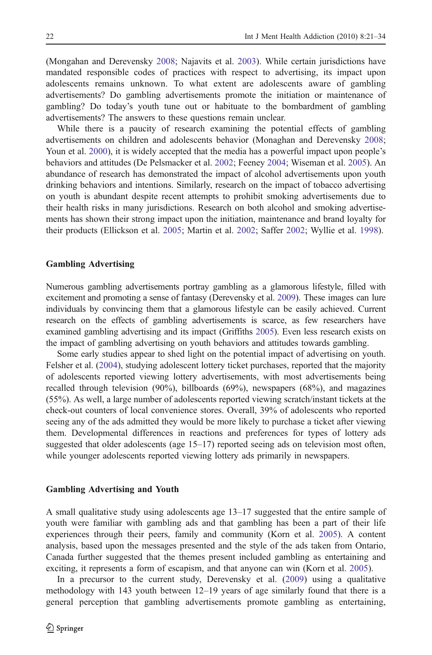(Mongahan and Derevensky [2008](#page-12-0); Najavits et al. [2003\)](#page-12-0). While certain jurisdictions have mandated responsible codes of practices with respect to advertising, its impact upon adolescents remains unknown. To what extent are adolescents aware of gambling advertisements? Do gambling advertisements promote the initiation or maintenance of gambling? Do today's youth tune out or habituate to the bombardment of gambling advertisements? The answers to these questions remain unclear.

While there is a paucity of research examining the potential effects of gambling advertisements on children and adolescents behavior (Monaghan and Derevensky [2008](#page-12-0); Youn et al. [2000](#page-13-0)), it is widely accepted that the media has a powerful impact upon people's behaviors and attitudes (De Pelsmacker et al. [2002](#page-12-0); Feeney [2004](#page-12-0); Wiseman et al. [2005](#page-13-0)). An abundance of research has demonstrated the impact of alcohol advertisements upon youth drinking behaviors and intentions. Similarly, research on the impact of tobacco advertising on youth is abundant despite recent attempts to prohibit smoking advertisements due to their health risks in many jurisdictions. Research on both alcohol and smoking advertisements has shown their strong impact upon the initiation, maintenance and brand loyalty for their products (Ellickson et al. [2005;](#page-12-0) Martin et al. [2002](#page-12-0); Saffer [2002](#page-12-0); Wyllie et al. [1998](#page-13-0)).

#### Gambling Advertising

Numerous gambling advertisements portray gambling as a glamorous lifestyle, filled with excitement and promoting a sense of fantasy (Derevensky et al. [2009\)](#page-12-0). These images can lure individuals by convincing them that a glamorous lifestyle can be easily achieved. Current research on the effects of gambling advertisements is scarce, as few researchers have examined gambling advertising and its impact (Griffiths [2005\)](#page-12-0). Even less research exists on the impact of gambling advertising on youth behaviors and attitudes towards gambling.

Some early studies appear to shed light on the potential impact of advertising on youth. Felsher et al. ([2004\)](#page-12-0), studying adolescent lottery ticket purchases, reported that the majority of adolescents reported viewing lottery advertisements, with most advertisements being recalled through television (90%), billboards (69%), newspapers (68%), and magazines (55%). As well, a large number of adolescents reported viewing scratch/instant tickets at the check-out counters of local convenience stores. Overall, 39% of adolescents who reported seeing any of the ads admitted they would be more likely to purchase a ticket after viewing them. Developmental differences in reactions and preferences for types of lottery ads suggested that older adolescents (age 15–17) reported seeing ads on television most often, while younger adolescents reported viewing lottery ads primarily in newspapers.

#### Gambling Advertising and Youth

A small qualitative study using adolescents age 13–17 suggested that the entire sample of youth were familiar with gambling ads and that gambling has been a part of their life experiences through their peers, family and community (Korn et al. [2005\)](#page-12-0). A content analysis, based upon the messages presented and the style of the ads taken from Ontario, Canada further suggested that the themes present included gambling as entertaining and exciting, it represents a form of escapism, and that anyone can win (Korn et al. [2005\)](#page-12-0).

In a precursor to the current study, Derevensky et al. [\(2009](#page-12-0)) using a qualitative methodology with 143 youth between 12–19 years of age similarly found that there is a general perception that gambling advertisements promote gambling as entertaining,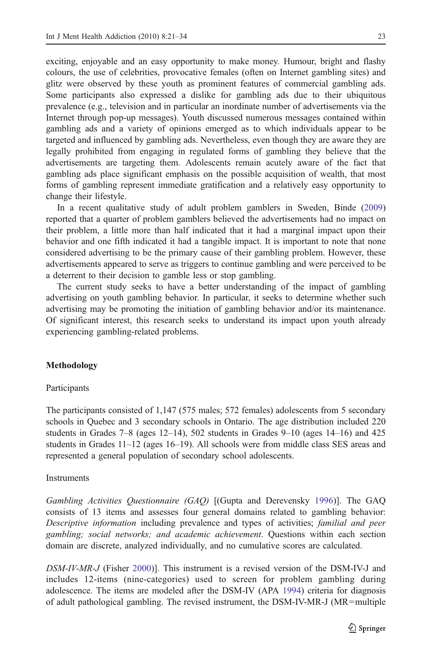exciting, enjoyable and an easy opportunity to make money. Humour, bright and flashy colours, the use of celebrities, provocative females (often on Internet gambling sites) and glitz were observed by these youth as prominent features of commercial gambling ads. Some participants also expressed a dislike for gambling ads due to their ubiquitous prevalence (e.g., television and in particular an inordinate number of advertisements via the Internet through pop-up messages). Youth discussed numerous messages contained within gambling ads and a variety of opinions emerged as to which individuals appear to be targeted and influenced by gambling ads. Nevertheless, even though they are aware they are legally prohibited from engaging in regulated forms of gambling they believe that the advertisements are targeting them. Adolescents remain acutely aware of the fact that gambling ads place significant emphasis on the possible acquisition of wealth, that most forms of gambling represent immediate gratification and a relatively easy opportunity to change their lifestyle.

In a recent qualitative study of adult problem gamblers in Sweden, Binde ([2009\)](#page-11-0) reported that a quarter of problem gamblers believed the advertisements had no impact on their problem, a little more than half indicated that it had a marginal impact upon their behavior and one fifth indicated it had a tangible impact. It is important to note that none considered advertising to be the primary cause of their gambling problem. However, these advertisements appeared to serve as triggers to continue gambling and were perceived to be a deterrent to their decision to gamble less or stop gambling.

The current study seeks to have a better understanding of the impact of gambling advertising on youth gambling behavior. In particular, it seeks to determine whether such advertising may be promoting the initiation of gambling behavior and/or its maintenance. Of significant interest, this research seeks to understand its impact upon youth already experiencing gambling-related problems.

## Methodology

#### Participants

The participants consisted of 1,147 (575 males; 572 females) adolescents from 5 secondary schools in Quebec and 3 secondary schools in Ontario. The age distribution included 220 students in Grades 7–8 (ages 12–14), 502 students in Grades 9–10 (ages 14–16) and 425 students in Grades 11–12 (ages 16–19). All schools were from middle class SES areas and represented a general population of secondary school adolescents.

# **Instruments**

Gambling Activities Questionnaire (GAQ) [(Gupta and Derevensky [1996](#page-12-0))]. The GAQ consists of 13 items and assesses four general domains related to gambling behavior: Descriptive information including prevalence and types of activities; familial and peer gambling; social networks; and academic achievement. Questions within each section domain are discrete, analyzed individually, and no cumulative scores are calculated.

DSM-IV-MR-J (Fisher [2000\)](#page-12-0)]. This instrument is a revised version of the DSM-IV-J and includes 12-items (nine-categories) used to screen for problem gambling during adolescence. The items are modeled after the DSM-IV (APA [1994](#page-11-0)) criteria for diagnosis of adult pathological gambling. The revised instrument, the DSM-IV-MR-J (MR=multiple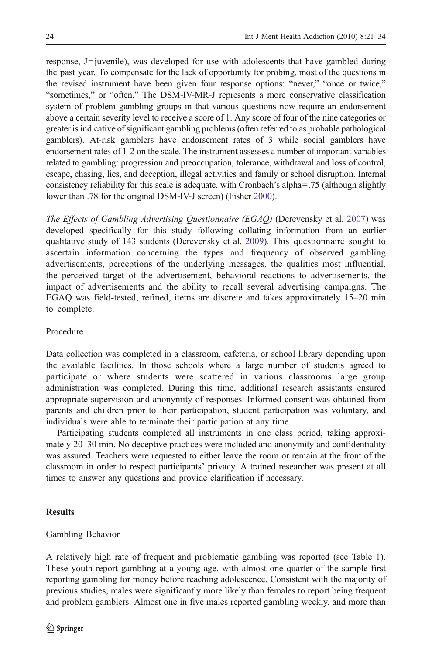response, J=juvenile), was developed for use with adolescents that have gambled during the past year. To compensate for the lack of opportunity for probing, most of the questions in the revised instrument have been given four response options: "never," "once or twice," "sometimes," or "often." The DSM-IV-MR-J represents a more conservative classification system of problem gambling groups in that various questions now require an endorsement above a certain severity level to receive a score of 1. Any score of four of the nine categories or greater is indicative of significant gambling problems (often referred to as probable pathological gamblers). At-risk gamblers have endorsement rates of 3 while social gamblers have endorsement rates of 1-2 on the scale. The instrument assesses a number of important variables related to gambling: progression and preoccupation, tolerance, withdrawal and loss of control, escape, chasing, lies, and deception, illegal activities and family or school disruption. Internal consistency reliability for this scale is adequate, with Cronbach's alpha=.75 (although slightly lower than .78 for the original DSM-IV-J screen) (Fisher [2000\)](#page-12-0).

The Effects of Gambling Advertising Questionnaire (EGAQ) (Derevensky et al. [2007\)](#page-12-0) was developed specifically for this study following collating information from an earlier qualitative study of 143 students (Derevensky et al. [2009\)](#page-12-0). This questionnaire sought to ascertain information concerning the types and frequency of observed gambling advertisements, perceptions of the underlying messages, the qualities most influential, the perceived target of the advertisement, behavioral reactions to advertisements, the impact of advertisements and the ability to recall several advertising campaigns. The EGAQ was field-tested, refined, items are discrete and takes approximately 15–20 min to complete.

# Procedure

Data collection was completed in a classroom, cafeteria, or school library depending upon the available facilities. In those schools where a large number of students agreed to participate or where students were scattered in various classrooms large group administration was completed. During this time, additional research assistants ensured appropriate supervision and anonymity of responses. Informed consent was obtained from parents and children prior to their participation, student participation was voluntary, and individuals were able to terminate their participation at any time.

Participating students completed all instruments in one class period, taking approximately 20–30 min. No deceptive practices were included and anonymity and confidentiality was assured. Teachers were requested to either leave the room or remain at the front of the classroom in order to respect participants' privacy. A trained researcher was present at all times to answer any questions and provide clarification if necessary.

# **Results**

# Gambling Behavior

A relatively high rate of frequent and problematic gambling was reported (see Table [1](#page-4-0)). These youth report gambling at a young age, with almost one quarter of the sample first reporting gambling for money before reaching adolescence. Consistent with the majority of previous studies, males were significantly more likely than females to report being frequent and problem gamblers. Almost one in five males reported gambling weekly, and more than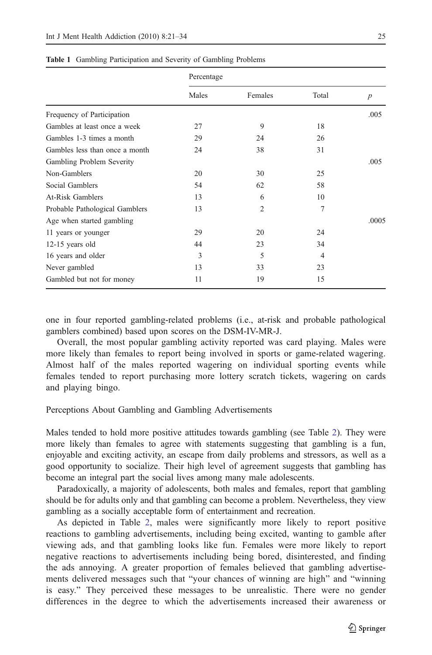|                                | Percentage |                |                |                  |
|--------------------------------|------------|----------------|----------------|------------------|
|                                | Males      | Females        | Total          | $\boldsymbol{p}$ |
| Frequency of Participation     |            |                |                | .005             |
| Gambles at least once a week   | 27         | 9              | 18             |                  |
| Gambles 1-3 times a month      | 29         | 24             | 26             |                  |
| Gambles less than once a month | 24         | 38             | 31             |                  |
| Gambling Problem Severity      |            |                |                | .005             |
| Non-Gamblers                   | 20         | 30             | 25             |                  |
| Social Gamblers                | 54         | 62             | 58             |                  |
| At-Risk Gamblers               | 13         | 6              | 10             |                  |
| Probable Pathological Gamblers | 13         | $\overline{2}$ | 7              |                  |
| Age when started gambling      |            |                |                | .0005            |
| 11 years or younger            | 29         | 20             | 24             |                  |
| $12-15$ years old              | 44         | 23             | 34             |                  |
| 16 years and older             | 3          | 5              | $\overline{4}$ |                  |
| Never gambled                  | 13         | 33             | 23             |                  |
| Gambled but not for money      | 11         | 19             | 15             |                  |

<span id="page-4-0"></span>

| Table 1 Gambling Participation and Severity of Gambling Problems |
|------------------------------------------------------------------|
|------------------------------------------------------------------|

one in four reported gambling-related problems (i.e., at-risk and probable pathological gamblers combined) based upon scores on the DSM-IV-MR-J.

Overall, the most popular gambling activity reported was card playing. Males were more likely than females to report being involved in sports or game-related wagering. Almost half of the males reported wagering on individual sporting events while females tended to report purchasing more lottery scratch tickets, wagering on cards and playing bingo.

# Perceptions About Gambling and Gambling Advertisements

Males tended to hold more positive attitudes towards gambling (see Table [2\)](#page-5-0). They were more likely than females to agree with statements suggesting that gambling is a fun, enjoyable and exciting activity, an escape from daily problems and stressors, as well as a good opportunity to socialize. Their high level of agreement suggests that gambling has become an integral part the social lives among many male adolescents.

Paradoxically, a majority of adolescents, both males and females, report that gambling should be for adults only and that gambling can become a problem. Nevertheless, they view gambling as a socially acceptable form of entertainment and recreation.

As depicted in Table [2](#page-5-0), males were significantly more likely to report positive reactions to gambling advertisements, including being excited, wanting to gamble after viewing ads, and that gambling looks like fun. Females were more likely to report negative reactions to advertisements including being bored, disinterested, and finding the ads annoying. A greater proportion of females believed that gambling advertisements delivered messages such that "your chances of winning are high" and "winning is easy." They perceived these messages to be unrealistic. There were no gender differences in the degree to which the advertisements increased their awareness or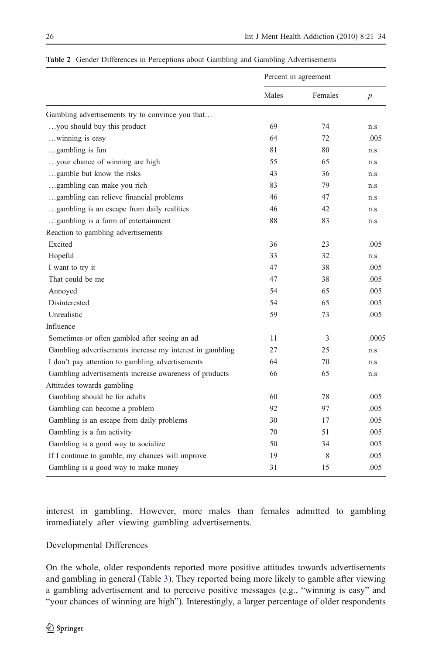<span id="page-5-0"></span>

| Table 2 Gender Differences in Perceptions about Gambling and Gambling Advertisements |
|--------------------------------------------------------------------------------------|
|--------------------------------------------------------------------------------------|

|                                                          | Percent in agreement |         |                  |
|----------------------------------------------------------|----------------------|---------|------------------|
|                                                          | Males                | Females | $\boldsymbol{p}$ |
| Gambling advertisements try to convince you that         |                      |         |                  |
| you should buy this product                              | 69                   | 74      | n.s              |
| winning is easy                                          | 64                   | 72      | .005             |
| gambling is fun                                          | 81                   | 80      | n.s              |
| your chance of winning are high                          | 55                   | 65      | n.s              |
| gamble but know the risks                                | 43                   | 36      | n.s              |
| gambling can make you rich                               | 83                   | 79      | n.s              |
| gambling can relieve financial problems                  | 46                   | 47      | n.s              |
| gambling is an escape from daily realities               | 46                   | 42      | n.s              |
| gambling is a form of entertainment                      | 88                   | 83      | n.s              |
| Reaction to gambling advertisements                      |                      |         |                  |
| Excited                                                  | 36                   | 23      | .005             |
| Hopeful                                                  | 33                   | 32      | n.s              |
| I want to try it                                         | 47                   | 38      | .005             |
| That could be me                                         | 47                   | 38      | .005             |
| Annoyed                                                  | 54                   | 65      | .005             |
| Disinterested                                            | 54                   | 65      | .005             |
| Unrealistic                                              | 59                   | 73      | .005             |
| Influence                                                |                      |         |                  |
| Sometimes or often gambled after seeing an ad            | 11                   | 3       | .0005            |
| Gambling advertisements increase my interest in gambling | 27                   | 25      | n.s              |
| I don't pay attention to gambling advertisements         | 64                   | 70      | n.s              |
| Gambling advertisements increase awareness of products   | 66                   | 65      | n.s              |
| Attitudes towards gambling                               |                      |         |                  |
| Gambling should be for adults                            | 60                   | 78      | .005             |
| Gambling can become a problem                            | 92                   | 97      | .005             |
| Gambling is an escape from daily problems                | 30                   | 17      | .005             |
| Gambling is a fun activity                               | 70                   | 51      | .005             |
| Gambling is a good way to socialize                      | 50                   | 34      | .005             |
| If I continue to gamble, my chances will improve         | 19                   | 8       | .005             |
| Gambling is a good way to make money                     | 31                   | 15      | .005             |

interest in gambling. However, more males than females admitted to gambling immediately after viewing gambling advertisements.

# Developmental Differences

On the whole, older respondents reported more positive attitudes towards advertisements and gambling in general (Table [3](#page-6-0)). They reported being more likely to gamble after viewing a gambling advertisement and to perceive positive messages (e.g., "winning is easy" and "your chances of winning are high"). Interestingly, a larger percentage of older respondents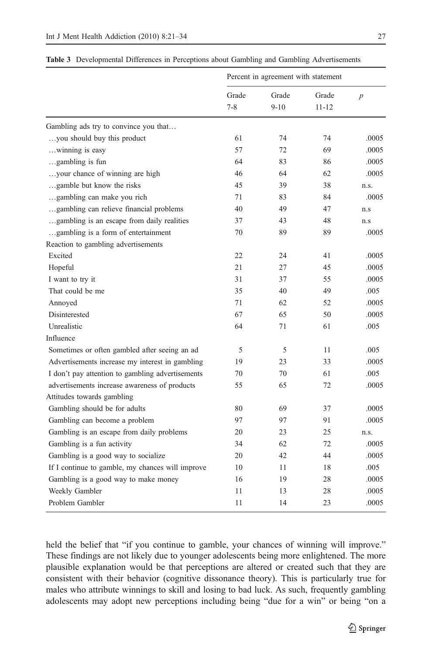|                                                  | Percent in agreement with statement |                   |                    |                  |  |
|--------------------------------------------------|-------------------------------------|-------------------|--------------------|------------------|--|
|                                                  | Grade<br>$7 - 8$                    | Grade<br>$9 - 10$ | Grade<br>$11 - 12$ | $\boldsymbol{p}$ |  |
| Gambling ads try to convince you that            |                                     |                   |                    |                  |  |
| you should buy this product                      | 61                                  | 74                | 74                 | .0005            |  |
| winning is easy                                  | 57                                  | 72                | 69                 | .0005            |  |
| gambling is fun                                  | 64                                  | 83                | 86                 | .0005            |  |
| your chance of winning are high                  | 46                                  | 64                | 62                 | .0005            |  |
| gamble but know the risks                        | 45                                  | 39                | 38                 | n.s.             |  |
| gambling can make you rich                       | 71                                  | 83                | 84                 | .0005            |  |
| gambling can relieve financial problems          | 40                                  | 49                | 47                 | n.s              |  |
| gambling is an escape from daily realities       | 37                                  | 43                | 48                 | n.s              |  |
| gambling is a form of entertainment              | 70                                  | 89                | 89                 | .0005            |  |
| Reaction to gambling advertisements              |                                     |                   |                    |                  |  |
| Excited                                          | 22                                  | 24                | 41                 | .0005            |  |
| Hopeful                                          | 21                                  | 27                | 45                 | .0005            |  |
| I want to try it                                 | 31                                  | 37                | 55                 | .0005            |  |
| That could be me                                 | 35                                  | 40                | 49                 | .005             |  |
| Annoyed                                          | 71                                  | 62                | 52                 | .0005            |  |
| Disinterested                                    | 67                                  | 65                | 50                 | .0005            |  |
| Unrealistic                                      | 64                                  | 71                | 61                 | .005             |  |
| Influence                                        |                                     |                   |                    |                  |  |
| Sometimes or often gambled after seeing an ad    | 5                                   | 5                 | 11                 | .005             |  |
| Advertisements increase my interest in gambling  | 19                                  | 23                | 33                 | .0005            |  |
| I don't pay attention to gambling advertisements | 70                                  | 70                | 61                 | .005             |  |
| advertisements increase awareness of products    | 55                                  | 65                | 72                 | .0005            |  |
| Attitudes towards gambling                       |                                     |                   |                    |                  |  |
| Gambling should be for adults                    | 80                                  | 69                | 37                 | .0005            |  |
| Gambling can become a problem                    | 97                                  | 97                | 91                 | .0005            |  |
| Gambling is an escape from daily problems        | 20                                  | 23                | 25                 | n.s.             |  |
| Gambling is a fun activity                       | 34                                  | 62                | 72                 | .0005            |  |
| Gambling is a good way to socialize              | 20                                  | 42                | 44                 | .0005            |  |
| If I continue to gamble, my chances will improve | 10                                  | 11                | 18                 | .005             |  |
| Gambling is a good way to make money             | 16                                  | 19                | 28                 | .0005            |  |
| Weekly Gambler                                   | 11                                  | 13                | 28                 | .0005            |  |
| Problem Gambler                                  | 11                                  | 14                | 23                 | .0005            |  |

<span id="page-6-0"></span>Table 3 Developmental Differences in Perceptions about Gambling and Gambling Advertisements

held the belief that "if you continue to gamble, your chances of winning will improve." These findings are not likely due to younger adolescents being more enlightened. The more plausible explanation would be that perceptions are altered or created such that they are consistent with their behavior (cognitive dissonance theory). This is particularly true for males who attribute winnings to skill and losing to bad luck. As such, frequently gambling adolescents may adopt new perceptions including being "due for a win" or being "on a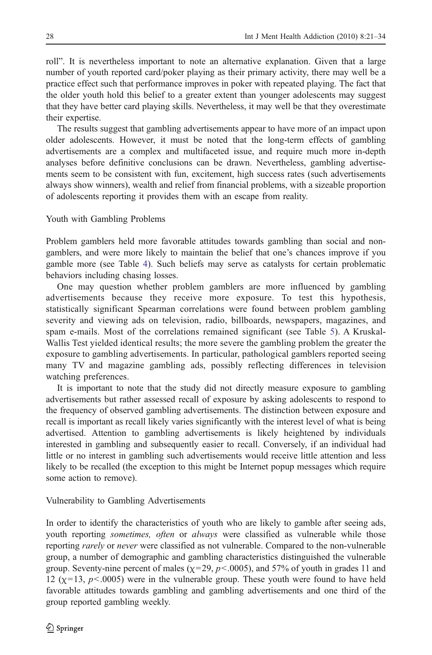roll". It is nevertheless important to note an alternative explanation. Given that a large number of youth reported card/poker playing as their primary activity, there may well be a practice effect such that performance improves in poker with repeated playing. The fact that the older youth hold this belief to a greater extent than younger adolescents may suggest that they have better card playing skills. Nevertheless, it may well be that they overestimate their expertise.

The results suggest that gambling advertisements appear to have more of an impact upon older adolescents. However, it must be noted that the long-term effects of gambling advertisements are a complex and multifaceted issue, and require much more in-depth analyses before definitive conclusions can be drawn. Nevertheless, gambling advertisements seem to be consistent with fun, excitement, high success rates (such advertisements always show winners), wealth and relief from financial problems, with a sizeable proportion of adolescents reporting it provides them with an escape from reality.

# Youth with Gambling Problems

Problem gamblers held more favorable attitudes towards gambling than social and nongamblers, and were more likely to maintain the belief that one's chances improve if you gamble more (see Table [4](#page-8-0)). Such beliefs may serve as catalysts for certain problematic behaviors including chasing losses.

One may question whether problem gamblers are more influenced by gambling advertisements because they receive more exposure. To test this hypothesis, statistically significant Spearman correlations were found between problem gambling severity and viewing ads on television, radio, billboards, newspapers, magazines, and spam e-mails. Most of the correlations remained significant (see Table [5\)](#page-9-0). A Kruskal-Wallis Test yielded identical results; the more severe the gambling problem the greater the exposure to gambling advertisements. In particular, pathological gamblers reported seeing many TV and magazine gambling ads, possibly reflecting differences in television watching preferences.

It is important to note that the study did not directly measure exposure to gambling advertisements but rather assessed recall of exposure by asking adolescents to respond to the frequency of observed gambling advertisements. The distinction between exposure and recall is important as recall likely varies significantly with the interest level of what is being advertised. Attention to gambling advertisements is likely heightened by individuals interested in gambling and subsequently easier to recall. Conversely, if an individual had little or no interest in gambling such advertisements would receive little attention and less likely to be recalled (the exception to this might be Internet popup messages which require some action to remove).

#### Vulnerability to Gambling Advertisements

In order to identify the characteristics of youth who are likely to gamble after seeing ads, youth reporting *sometimes, often* or *always* were classified as vulnerable while those reporting rarely or never were classified as not vulnerable. Compared to the non-vulnerable group, a number of demographic and gambling characteristics distinguished the vulnerable group. Seventy-nine percent of males ( $\chi$ =29,  $p$ <.0005), and 57% of youth in grades 11 and 12 ( $\chi$ =13,  $p$ <.0005) were in the vulnerable group. These youth were found to have held favorable attitudes towards gambling and gambling advertisements and one third of the group reported gambling weekly.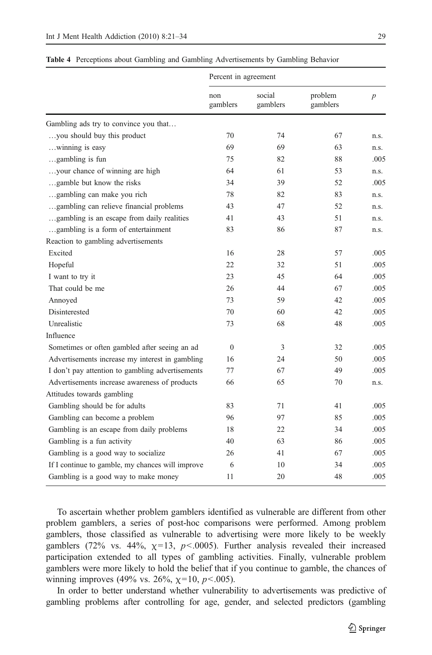|                                                  | Percent in agreement |                    |                     |                  |  |
|--------------------------------------------------|----------------------|--------------------|---------------------|------------------|--|
|                                                  | non<br>gamblers      | social<br>gamblers | problem<br>gamblers | $\boldsymbol{p}$ |  |
| Gambling ads try to convince you that            |                      |                    |                     |                  |  |
| you should buy this product                      | 70                   | 74                 | 67                  | n.s.             |  |
| winning is easy                                  | 69                   | 69                 | 63                  | n.s.             |  |
| gambling is fun                                  | 75                   | 82                 | 88                  | .005             |  |
| your chance of winning are high                  | 64                   | 61                 | 53                  | n.s.             |  |
| gamble but know the risks                        | 34                   | 39                 | 52                  | .005             |  |
| gambling can make you rich                       | 78                   | 82                 | 83                  | n.s.             |  |
| gambling can relieve financial problems          | 43                   | 47                 | 52                  | n.s.             |  |
| gambling is an escape from daily realities       | 41                   | 43                 | 51                  | n.s.             |  |
| gambling is a form of entertainment              | 83                   | 86                 | 87                  | n.s.             |  |
| Reaction to gambling advertisements              |                      |                    |                     |                  |  |
| Excited                                          | 16                   | 28                 | 57                  | .005             |  |
| Hopeful                                          | 22                   | 32                 | 51                  | .005             |  |
| I want to try it                                 | 23                   | 45                 | 64                  | .005             |  |
| That could be me                                 | 26                   | 44                 | 67                  | .005             |  |
| Annoyed                                          | 73                   | 59                 | 42                  | .005             |  |
| Disinterested                                    | 70                   | 60                 | 42                  | .005             |  |
| Unrealistic                                      | 73                   | 68                 | 48                  | .005             |  |
| Influence                                        |                      |                    |                     |                  |  |
| Sometimes or often gambled after seeing an ad    | $\theta$             | 3                  | 32                  | .005             |  |
| Advertisements increase my interest in gambling  | 16                   | 24                 | 50                  | .005             |  |
| I don't pay attention to gambling advertisements | 77                   | 67                 | 49                  | .005             |  |
| Advertisements increase awareness of products    | 66                   | 65                 | 70                  | n.s.             |  |
| Attitudes towards gambling                       |                      |                    |                     |                  |  |
| Gambling should be for adults                    | 83                   | 71                 | 41                  | .005             |  |
| Gambling can become a problem                    | 96                   | 97                 | 85                  | .005             |  |
| Gambling is an escape from daily problems        | 18                   | 22                 | 34                  | .005             |  |
| Gambling is a fun activity                       | 40                   | 63                 | 86                  | .005             |  |
| Gambling is a good way to socialize              | 26                   | 41                 | 67                  | .005             |  |
| If I continue to gamble, my chances will improve | 6                    | 10                 | 34                  | .005             |  |
| Gambling is a good way to make money             | 11                   | 20                 | 48                  | .005             |  |

<span id="page-8-0"></span>Table 4 Perceptions about Gambling and Gambling Advertisements by Gambling Behavior

To ascertain whether problem gamblers identified as vulnerable are different from other problem gamblers, a series of post-hoc comparisons were performed. Among problem gamblers, those classified as vulnerable to advertising were more likely to be weekly gamblers (72% vs. 44%,  $\chi=13$ ,  $p<.0005$ ). Further analysis revealed their increased participation extended to all types of gambling activities. Finally, vulnerable problem gamblers were more likely to hold the belief that if you continue to gamble, the chances of winning improves (49% vs. 26%,  $\chi$ =10,  $p$  < 005).

In order to better understand whether vulnerability to advertisements was predictive of gambling problems after controlling for age, gender, and selected predictors (gambling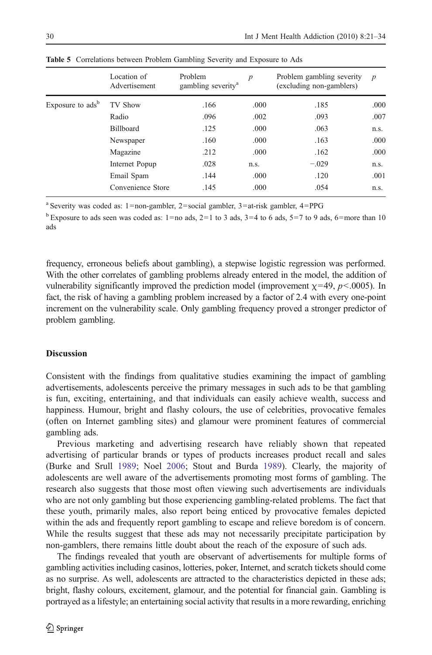|                              | Location of<br>Advertisement | Problem<br>gambling severity <sup>a</sup> | $\boldsymbol{p}$ | Problem gambling severity<br>(excluding non-gamblers) | $\boldsymbol{p}$ |
|------------------------------|------------------------------|-------------------------------------------|------------------|-------------------------------------------------------|------------------|
| Exposure to ads <sup>b</sup> | TV Show                      | .166                                      | .000             | .185                                                  | .000             |
|                              | Radio                        | .096                                      | .002             | .093                                                  | .007             |
|                              | Billboard                    | .125                                      | .000             | .063                                                  | n.s.             |
|                              | Newspaper                    | .160                                      | .000             | .163                                                  | .000             |
|                              | Magazine                     | .212                                      | .000             | .162                                                  | .000             |
| Internet Popup<br>Email Spam | .028                         | n.s.                                      | $-.029$          | n.s.                                                  |                  |
|                              |                              | .144                                      | .000             | .120                                                  | .001             |
|                              | Convenience Store            | .145                                      | .000             | .054                                                  | n.s.             |

<span id="page-9-0"></span>Table 5 Correlations between Problem Gambling Severity and Exposure to Ads

<sup>a</sup> Severity was coded as: 1=non-gambler, 2=social gambler, 3=at-risk gambler, 4=PPG

<sup>b</sup> Exposure to ads seen was coded as:  $1=$ no ads,  $2=1$  to 3 ads,  $3=4$  to 6 ads,  $5=7$  to 9 ads,  $6=$ more than 10 ads

frequency, erroneous beliefs about gambling), a stepwise logistic regression was performed. With the other correlates of gambling problems already entered in the model, the addition of vulnerability significantly improved the prediction model (improvement  $\chi$ =49, p < 0.005). In fact, the risk of having a gambling problem increased by a factor of 2.4 with every one-point increment on the vulnerability scale. Only gambling frequency proved a stronger predictor of problem gambling.

## **Discussion**

Consistent with the findings from qualitative studies examining the impact of gambling advertisements, adolescents perceive the primary messages in such ads to be that gambling is fun, exciting, entertaining, and that individuals can easily achieve wealth, success and happiness. Humour, bright and flashy colours, the use of celebrities, provocative females (often on Internet gambling sites) and glamour were prominent features of commercial gambling ads.

Previous marketing and advertising research have reliably shown that repeated advertising of particular brands or types of products increases product recall and sales (Burke and Srull [1989;](#page-11-0) Noel [2006;](#page-12-0) Stout and Burda [1989\)](#page-12-0). Clearly, the majority of adolescents are well aware of the advertisements promoting most forms of gambling. The research also suggests that those most often viewing such advertisements are individuals who are not only gambling but those experiencing gambling-related problems. The fact that these youth, primarily males, also report being enticed by provocative females depicted within the ads and frequently report gambling to escape and relieve boredom is of concern. While the results suggest that these ads may not necessarily precipitate participation by non-gamblers, there remains little doubt about the reach of the exposure of such ads.

The findings revealed that youth are observant of advertisements for multiple forms of gambling activities including casinos, lotteries, poker, Internet, and scratch tickets should come as no surprise. As well, adolescents are attracted to the characteristics depicted in these ads; bright, flashy colours, excitement, glamour, and the potential for financial gain. Gambling is portrayed as a lifestyle; an entertaining social activity that results in a more rewarding, enriching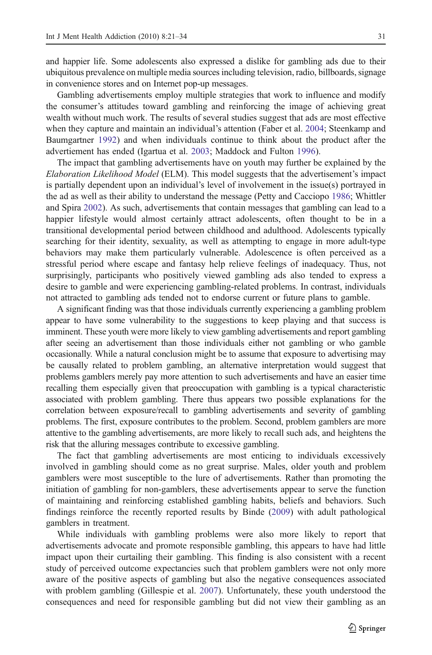and happier life. Some adolescents also expressed a dislike for gambling ads due to their ubiquitous prevalence on multiple media sources including television, radio, billboards, signage in convenience stores and on Internet pop-up messages.

Gambling advertisements employ multiple strategies that work to influence and modify the consumer's attitudes toward gambling and reinforcing the image of achieving great wealth without much work. The results of several studies suggest that ads are most effective when they capture and maintain an individual's attention (Faber et al. [2004;](#page-12-0) Steenkamp and Baumgartner [1992\)](#page-12-0) and when individuals continue to think about the product after the advertiement has ended (Igartua et al. [2003](#page-12-0); Maddock and Fulton [1996](#page-12-0)).

The impact that gambling advertisements have on youth may further be explained by the Elaboration Likelihood Model (ELM). This model suggests that the advertisement's impact is partially dependent upon an individual's level of involvement in the issue(s) portrayed in the ad as well as their ability to understand the message (Petty and Cacciopo [1986](#page-12-0); Whittler and Spira [2002](#page-13-0)). As such, advertisements that contain messages that gambling can lead to a happier lifestyle would almost certainly attract adolescents, often thought to be in a transitional developmental period between childhood and adulthood. Adolescents typically searching for their identity, sexuality, as well as attempting to engage in more adult-type behaviors may make them particularly vulnerable. Adolescence is often perceived as a stressful period where escape and fantasy help relieve feelings of inadequacy. Thus, not surprisingly, participants who positively viewed gambling ads also tended to express a desire to gamble and were experiencing gambling-related problems. In contrast, individuals not attracted to gambling ads tended not to endorse current or future plans to gamble.

A significant finding was that those individuals currently experiencing a gambling problem appear to have some vulnerability to the suggestions to keep playing and that success is imminent. These youth were more likely to view gambling advertisements and report gambling after seeing an advertisement than those individuals either not gambling or who gamble occasionally. While a natural conclusion might be to assume that exposure to advertising may be causally related to problem gambling, an alternative interpretation would suggest that problems gamblers merely pay more attention to such advertisements and have an easier time recalling them especially given that preoccupation with gambling is a typical characteristic associated with problem gambling. There thus appears two possible explanations for the correlation between exposure/recall to gambling advertisements and severity of gambling problems. The first, exposure contributes to the problem. Second, problem gamblers are more attentive to the gambling advertisements, are more likely to recall such ads, and heightens the risk that the alluring messages contribute to excessive gambling.

The fact that gambling advertisements are most enticing to individuals excessively involved in gambling should come as no great surprise. Males, older youth and problem gamblers were most susceptible to the lure of advertisements. Rather than promoting the initiation of gambling for non-gamblers, these advertisements appear to serve the function of maintaining and reinforcing established gambling habits, beliefs and behaviors. Such findings reinforce the recently reported results by Binde [\(2009](#page-11-0)) with adult pathological gamblers in treatment.

While individuals with gambling problems were also more likely to report that advertisements advocate and promote responsible gambling, this appears to have had little impact upon their curtailing their gambling. This finding is also consistent with a recent study of perceived outcome expectancies such that problem gamblers were not only more aware of the positive aspects of gambling but also the negative consequences associated with problem gambling (Gillespie et al. [2007\)](#page-12-0). Unfortunately, these youth understood the consequences and need for responsible gambling but did not view their gambling as an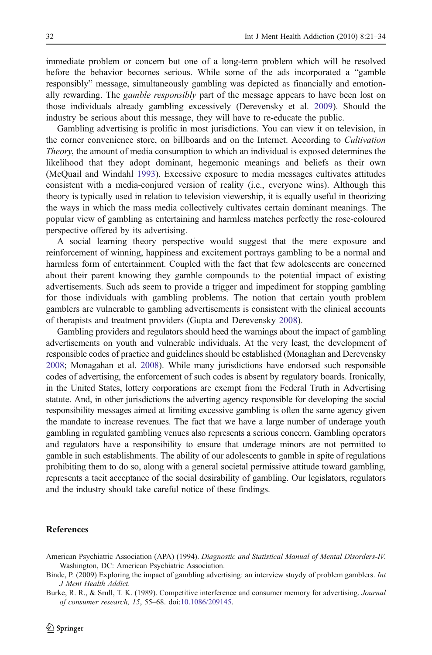<span id="page-11-0"></span>immediate problem or concern but one of a long-term problem which will be resolved before the behavior becomes serious. While some of the ads incorporated a "gamble responsibly" message, simultaneously gambling was depicted as financially and emotionally rewarding. The *gamble responsibly* part of the message appears to have been lost on those individuals already gambling excessively (Derevensky et al. [2009\)](#page-12-0). Should the industry be serious about this message, they will have to re-educate the public.

Gambling advertising is prolific in most jurisdictions. You can view it on television, in the corner convenience store, on billboards and on the Internet. According to Cultivation Theory, the amount of media consumption to which an individual is exposed determines the likelihood that they adopt dominant, hegemonic meanings and beliefs as their own (McQuail and Windahl [1993](#page-12-0)). Excessive exposure to media messages cultivates attitudes consistent with a media-conjured version of reality (i.e., everyone wins). Although this theory is typically used in relation to television viewership, it is equally useful in theorizing the ways in which the mass media collectively cultivates certain dominant meanings. The popular view of gambling as entertaining and harmless matches perfectly the rose-coloured perspective offered by its advertising.

A social learning theory perspective would suggest that the mere exposure and reinforcement of winning, happiness and excitement portrays gambling to be a normal and harmless form of entertainment. Coupled with the fact that few adolescents are concerned about their parent knowing they gamble compounds to the potential impact of existing advertisements. Such ads seem to provide a trigger and impediment for stopping gambling for those individuals with gambling problems. The notion that certain youth problem gamblers are vulnerable to gambling advertisements is consistent with the clinical accounts of therapists and treatment providers (Gupta and Derevensky [2008\)](#page-12-0).

Gambling providers and regulators should heed the warnings about the impact of gambling advertisements on youth and vulnerable individuals. At the very least, the development of responsible codes of practice and guidelines should be established (Monaghan and Derevensky [2008](#page-12-0); Monagahan et al. [2008\)](#page-12-0). While many jurisdictions have endorsed such responsible codes of advertising, the enforcement of such codes is absent by regulatory boards. Ironically, in the United States, lottery corporations are exempt from the Federal Truth in Advertising statute. And, in other jurisdictions the adverting agency responsible for developing the social responsibility messages aimed at limiting excessive gambling is often the same agency given the mandate to increase revenues. The fact that we have a large number of underage youth gambling in regulated gambling venues also represents a serious concern. Gambling operators and regulators have a responsibility to ensure that underage minors are not permitted to gamble in such establishments. The ability of our adolescents to gamble in spite of regulations prohibiting them to do so, along with a general societal permissive attitude toward gambling, represents a tacit acceptance of the social desirability of gambling. Our legislators, regulators and the industry should take careful notice of these findings.

# References

- American Psychiatric Association (APA) (1994). Diagnostic and Statistical Manual of Mental Disorders-IV. Washington, DC: American Psychiatric Association.
- Binde, P. (2009) Exploring the impact of gambling advertising: an interview stuydy of problem gamblers. Int J Ment Health Addict.

Burke, R. R., & Srull, T. K. (1989). Competitive interference and consumer memory for advertising. Journal of consumer research, 15, 55–68. doi:[10.1086/209145.](http://dx.doi.org/10.1086/209145)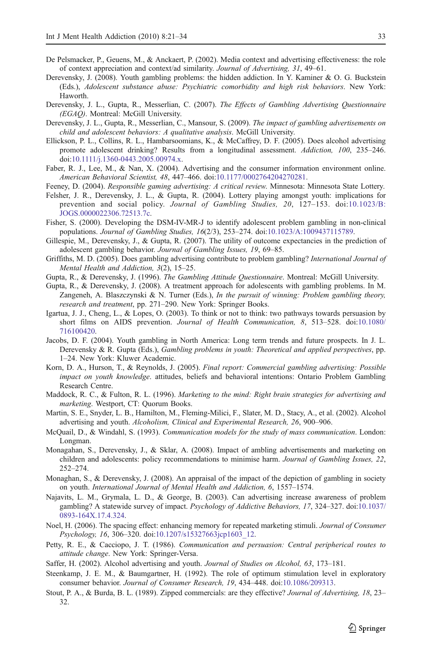- <span id="page-12-0"></span>De Pelsmacker, P., Geuens, M., & Anckaert, P. (2002). Media context and advertising effectiveness: the role of context appreciation and context/ad similarity. Journal of Advertising, 31, 49–61.
- Derevensky, J. (2008). Youth gambling problems: the hidden addiction. In Y. Kaminer & O. G. Buckstein (Eds.), Adolescent substance abuse: Psychiatric comorbidity and high risk behaviors. New York: Haworth.
- Derevensky, J. L., Gupta, R., Messerlian, C. (2007). The Effects of Gambling Advertising Questionnaire (EGAQ). Montreal: McGill University.
- Derevensky, J. L., Gupta, R., Messerlian, C., Mansour, S. (2009). The impact of gambling advertisements on child and adolescent behaviors: A qualitative analysis. McGill University.
- Ellickson, P. L., Collins, R. L., Hambarsoomians, K., & McCaffrey, D. F. (2005). Does alcohol advertising promote adolescent drinking? Results from a longitudinal assessment. Addiction, 100, 235–246. doi:[10.1111/j.1360-0443.2005.00974.x](http://dx.doi.org/10.1111/j.1360-0443.2005.00974.x).
- Faber, R. J., Lee, M., & Nan, X. (2004). Advertising and the consumer information environment online. American Behavioral Scientist, 48, 447–466. doi[:10.1177/0002764204270281](http://dx.doi.org/10.1177/0002764204270281).
- Feeney, D. (2004). Responsible gaming advertising: A critical review. Minnesota: Minnesota State Lottery.
- Felsher, J. R., Derevensky, J. L., & Gupta, R. (2004). Lottery playing amongst youth: implications for prevention and social policy. Journal of Gambling Studies, 20, 127–153. doi:[10.1023/B:](http://dx.doi.org/10.1023/B:JOGS.0000022306.72513.7c) [JOGS.0000022306.72513.7c.](http://dx.doi.org/10.1023/B:JOGS.0000022306.72513.7c)
- Fisher, S. (2000). Developing the DSM-IV-MR-J to identify adolescent problem gambling in non-clinical populations. Journal of Gambling Studies, 16(2/3), 253–274. doi[:10.1023/A:1009437115789](http://dx.doi.org/10.1023/A:1009437115789).
- Gillespie, M., Derevensky, J., & Gupta, R. (2007). The utility of outcome expectancies in the prediction of adolescent gambling behavior. Journal of Gambling Issues, 19, 69–85.
- Griffiths, M. D. (2005). Does gambling advertising contribute to problem gambling? International Journal of Mental Health and Addiction, 3(2), 15–25.
- Gupta, R., & Derevensky, J. (1996). The Gambling Attitude Questionnaire. Montreal: McGill University.
- Gupta, R., & Derevensky, J. (2008). A treatment approach for adolescents with gambling problems. In M. Zangeneh, A. Blaszczynski & N. Turner (Eds.), In the pursuit of winning: Problem gambling theory, research and treatment, pp. 271–290. New York: Springer Books.
- Igartua, J. J., Cheng, L., & Lopes, O. (2003). To think or not to think: two pathways towards persuasion by short films on AIDS prevention. Journal of Health Communication, 8, 513–528. doi[:10.1080/](http://dx.doi.org/10.1080/716100420) [716100420](http://dx.doi.org/10.1080/716100420).
- Jacobs, D. F. (2004). Youth gambling in North America: Long term trends and future prospects. In J. L. Derevensky & R. Gupta (Eds.), Gambling problems in youth: Theoretical and applied perspectives, pp. 1–24. New York: Kluwer Academic.
- Korn, D. A., Hurson, T., & Reynolds, J. (2005). Final report: Commercial gambling advertising: Possible impact on youth knowledge. attitudes, beliefs and behavioral intentions: Ontario Problem Gambling Research Centre.
- Maddock, R. C., & Fulton, R. L. (1996). Marketing to the mind: Right brain strategies for advertising and marketing. Westport, CT: Quorum Books.
- Martin, S. E., Snyder, L. B., Hamilton, M., Fleming-Milici, F., Slater, M. D., Stacy, A., et al. (2002). Alcohol advertising and youth. Alcoholism, Clinical and Experimental Research, 26, 900–906.
- McQuail, D., & Windahl, S. (1993). Communication models for the study of mass communication. London: Longman.
- Monagahan, S., Derevensky, J., & Sklar, A. (2008). Impact of ambling advertisements and marketing on children and adolescents: policy recommendations to minimise harm. Journal of Gambling Issues, 22, 252–274.
- Monaghan, S., & Derevensky, J. (2008). An appraisal of the impact of the depiction of gambling in society on youth. International Journal of Mental Health and Addiction, 6, 1557–1574.
- Najavits, L. M., Grymala, L. D., & George, B. (2003). Can advertising increase awareness of problem gambling? A statewide survey of impact. Psychology of Addictive Behaviors, 17, 324–327. doi:[10.1037/](http://dx.doi.org/10.1037/0893-164X.17.4.324) [0893-164X.17.4.324.](http://dx.doi.org/10.1037/0893-164X.17.4.324)
- Noel, H. (2006). The spacing effect: enhancing memory for repeated marketing stimuli. Journal of Consumer Psychology, 16, 306–320. doi:[10.1207/s15327663jcp1603\\_12.](http://dx.doi.org/10.1207/s15327663jcp1603_12)
- Petty, R. E., & Cacciopo, J. T. (1986). Communication and persuasion: Central peripherical routes to attitude change. New York: Springer-Versa.
- Saffer, H. (2002). Alcohol advertising and youth. Journal of Studies on Alcohol, 63, 173–181.
- Steenkamp, J. E. M., & Baumgartner, H. (1992). The role of optimum stimulation level in exploratory consumer behavior. Journal of Consumer Research, 19, 434–448. doi:[10.1086/209313.](http://dx.doi.org/10.1086/209313)
- Stout, P. A., & Burda, B. L. (1989). Zipped commercials: are they effective? Journal of Advertising, 18, 23– 32.